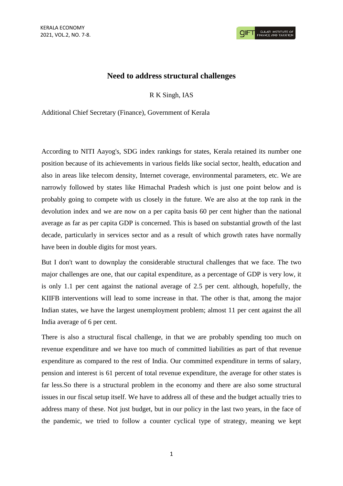## **Need to address structural challenges**

R K Singh, IAS

Additional Chief Secretary (Finance), Government of Kerala

According to NITI Aayog's, SDG index rankings for states, Kerala retained its number one position because of its achievements in various fields like social sector, health, education and also in areas like telecom density, Internet coverage, environmental parameters, etc. We are narrowly followed by states like Himachal Pradesh which is just one point below and is probably going to compete with us closely in the future. We are also at the top rank in the devolution index and we are now on a per capita basis 60 per cent higher than the national average as far as per capita GDP is concerned. This is based on substantial growth of the last decade, particularly in services sector and as a result of which growth rates have normally have been in double digits for most years.

But I don't want to downplay the considerable structural challenges that we face. The two major challenges are one, that our capital expenditure, as a percentage of GDP is very low, it is only 1.1 per cent against the national average of 2.5 per cent. although, hopefully, the KIIFB interventions will lead to some increase in that. The other is that, among the major Indian states, we have the largest unemployment problem; almost 11 per cent against the all India average of 6 per cent.

There is also a structural fiscal challenge, in that we are probably spending too much on revenue expenditure and we have too much of committed liabilities as part of that revenue expenditure as compared to the rest of India. Our committed expenditure in terms of salary, pension and interest is 61 percent of total revenue expenditure, the average for other states is far less.So there is a structural problem in the economy and there are also some structural issues in our fiscal setup itself. We have to address all of these and the budget actually tries to address many of these. Not just budget, but in our policy in the last two years, in the face of the pandemic, we tried to follow a counter cyclical type of strategy, meaning we kept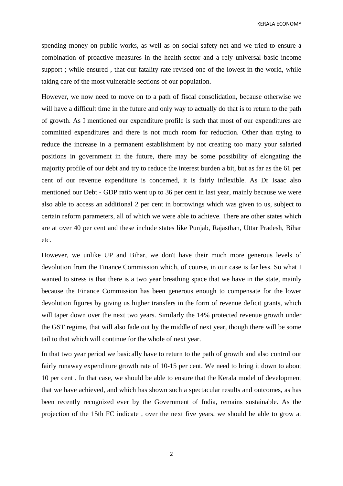KERALA ECONOMY

spending money on public works, as well as on social safety net and we tried to ensure a combination of proactive measures in the health sector and a rely universal basic income support ; while ensured , that our fatality rate revised one of the lowest in the world, while taking care of the most vulnerable sections of our population.

However, we now need to move on to a path of fiscal consolidation, because otherwise we will have a difficult time in the future and only way to actually do that is to return to the path of growth. As I mentioned our expenditure profile is such that most of our expenditures are committed expenditures and there is not much room for reduction. Other than trying to reduce the increase in a permanent establishment by not creating too many your salaried positions in government in the future, there may be some possibility of elongating the majority profile of our debt and try to reduce the interest burden a bit, but as far as the 61 per cent of our revenue expenditure is concerned, it is fairly inflexible. As Dr Isaac also mentioned our Debt - GDP ratio went up to 36 per cent in last year, mainly because we were also able to access an additional 2 per cent in borrowings which was given to us, subject to certain reform parameters, all of which we were able to achieve. There are other states which are at over 40 per cent and these include states like Punjab, Rajasthan, Uttar Pradesh, Bihar etc.

However, we unlike UP and Bihar, we don't have their much more generous levels of devolution from the Finance Commission which, of course, in our case is far less. So what I wanted to stress is that there is a two year breathing space that we have in the state, mainly because the Finance Commission has been generous enough to compensate for the lower devolution figures by giving us higher transfers in the form of revenue deficit grants, which will taper down over the next two years. Similarly the 14% protected revenue growth under the GST regime, that will also fade out by the middle of next year, though there will be some tail to that which will continue for the whole of next year.

In that two year period we basically have to return to the path of growth and also control our fairly runaway expenditure growth rate of 10-15 per cent. We need to bring it down to about 10 per cent . In that case, we should be able to ensure that the Kerala model of development that we have achieved, and which has shown such a spectacular results and outcomes, as has been recently recognized ever by the Government of India, remains sustainable. As the projection of the 15th FC indicate , over the next five years, we should be able to grow at